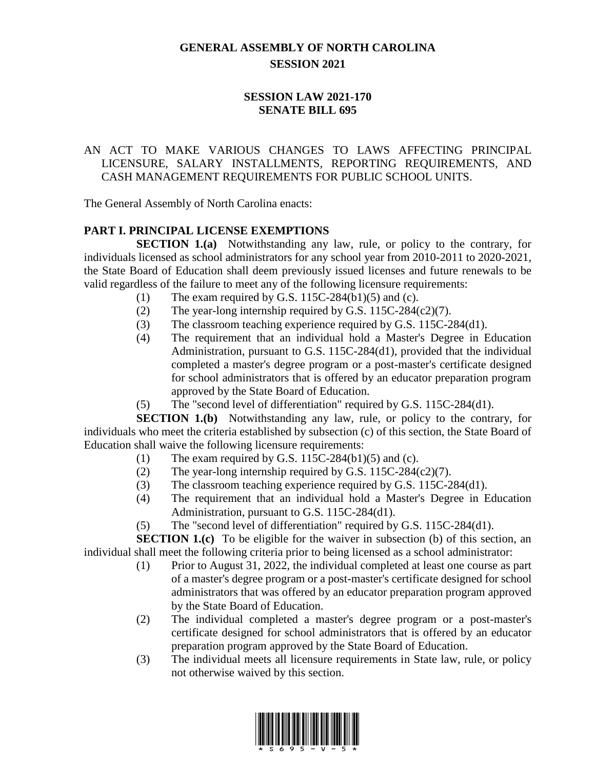# **GENERAL ASSEMBLY OF NORTH CAROLINA SESSION 2021**

## **SESSION LAW 2021-170 SENATE BILL 695**

## AN ACT TO MAKE VARIOUS CHANGES TO LAWS AFFECTING PRINCIPAL LICENSURE, SALARY INSTALLMENTS, REPORTING REQUIREMENTS, AND CASH MANAGEMENT REQUIREMENTS FOR PUBLIC SCHOOL UNITS.

The General Assembly of North Carolina enacts:

# **PART I. PRINCIPAL LICENSE EXEMPTIONS**

**SECTION 1.(a)** Notwithstanding any law, rule, or policy to the contrary, for individuals licensed as school administrators for any school year from 2010-2011 to 2020-2021, the State Board of Education shall deem previously issued licenses and future renewals to be valid regardless of the failure to meet any of the following licensure requirements:

- (1) The exam required by G.S.  $115C-284(b1)(5)$  and (c).
- (2) The year-long internship required by G.S. 115C-284(c2)(7).
- (3) The classroom teaching experience required by G.S. 115C-284(d1).
- (4) The requirement that an individual hold a Master's Degree in Education Administration, pursuant to G.S. 115C-284(d1), provided that the individual completed a master's degree program or a post-master's certificate designed for school administrators that is offered by an educator preparation program approved by the State Board of Education.
- (5) The "second level of differentiation" required by G.S. 115C-284(d1).

**SECTION 1.(b)** Notwithstanding any law, rule, or policy to the contrary, for individuals who meet the criteria established by subsection (c) of this section, the State Board of Education shall waive the following licensure requirements:

- (1) The exam required by G.S.  $115C-284(b1)(5)$  and (c).
- (2) The year-long internship required by G.S.  $115C-284(c2)(7)$ .
- (3) The classroom teaching experience required by G.S. 115C-284(d1).
- (4) The requirement that an individual hold a Master's Degree in Education Administration, pursuant to G.S. 115C-284(d1).
- (5) The "second level of differentiation" required by G.S. 115C-284(d1).

**SECTION 1.(c)** To be eligible for the waiver in subsection (b) of this section, an individual shall meet the following criteria prior to being licensed as a school administrator:

- (1) Prior to August 31, 2022, the individual completed at least one course as part of a master's degree program or a post-master's certificate designed for school administrators that was offered by an educator preparation program approved by the State Board of Education.
- (2) The individual completed a master's degree program or a post-master's certificate designed for school administrators that is offered by an educator preparation program approved by the State Board of Education.
- (3) The individual meets all licensure requirements in State law, rule, or policy not otherwise waived by this section.

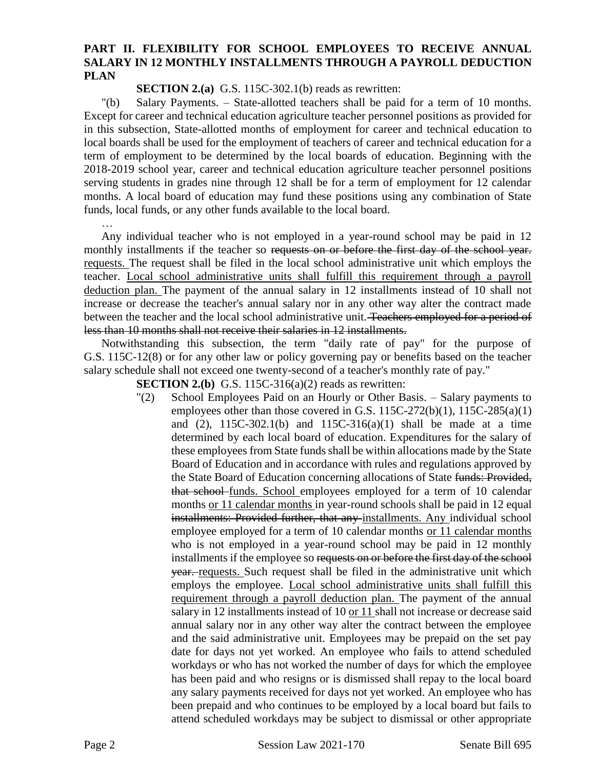#### **PART II. FLEXIBILITY FOR SCHOOL EMPLOYEES TO RECEIVE ANNUAL SALARY IN 12 MONTHLY INSTALLMENTS THROUGH A PAYROLL DEDUCTION PLAN**

**SECTION 2.(a)** G.S. 115C-302.1(b) reads as rewritten:

"(b) Salary Payments. – State-allotted teachers shall be paid for a term of 10 months. Except for career and technical education agriculture teacher personnel positions as provided for in this subsection, State-allotted months of employment for career and technical education to local boards shall be used for the employment of teachers of career and technical education for a term of employment to be determined by the local boards of education. Beginning with the 2018-2019 school year, career and technical education agriculture teacher personnel positions serving students in grades nine through 12 shall be for a term of employment for 12 calendar months. A local board of education may fund these positions using any combination of State funds, local funds, or any other funds available to the local board.

…

Any individual teacher who is not employed in a year-round school may be paid in 12 monthly installments if the teacher so requests on or before the first day of the school year. requests. The request shall be filed in the local school administrative unit which employs the teacher. Local school administrative units shall fulfill this requirement through a payroll deduction plan. The payment of the annual salary in 12 installments instead of 10 shall not increase or decrease the teacher's annual salary nor in any other way alter the contract made between the teacher and the local school administrative unit. Teachers employed for a period of less than 10 months shall not receive their salaries in 12 installments.

Notwithstanding this subsection, the term "daily rate of pay" for the purpose of G.S. 115C-12(8) or for any other law or policy governing pay or benefits based on the teacher salary schedule shall not exceed one twenty-second of a teacher's monthly rate of pay."

**SECTION 2.(b)** G.S. 115C-316(a)(2) reads as rewritten:

"(2) School Employees Paid on an Hourly or Other Basis. – Salary payments to employees other than those covered in G.S. 115C-272(b)(1), 115C-285(a)(1) and (2),  $115C-302.1(b)$  and  $115C-316(a)(1)$  shall be made at a time determined by each local board of education. Expenditures for the salary of these employees from State funds shall be within allocations made by the State Board of Education and in accordance with rules and regulations approved by the State Board of Education concerning allocations of State funds: Provided, that school-funds. School employees employed for a term of 10 calendar months or 11 calendar months in year-round schools shall be paid in 12 equal installments: Provided further, that any installments. Any individual school employee employed for a term of 10 calendar months or 11 calendar months who is not employed in a year-round school may be paid in 12 monthly installments if the employee so requests on or before the first day of the school year. requests. Such request shall be filed in the administrative unit which employs the employee. Local school administrative units shall fulfill this requirement through a payroll deduction plan. The payment of the annual salary in 12 installments instead of 10 or 11 shall not increase or decrease said annual salary nor in any other way alter the contract between the employee and the said administrative unit. Employees may be prepaid on the set pay date for days not yet worked. An employee who fails to attend scheduled workdays or who has not worked the number of days for which the employee has been paid and who resigns or is dismissed shall repay to the local board any salary payments received for days not yet worked. An employee who has been prepaid and who continues to be employed by a local board but fails to attend scheduled workdays may be subject to dismissal or other appropriate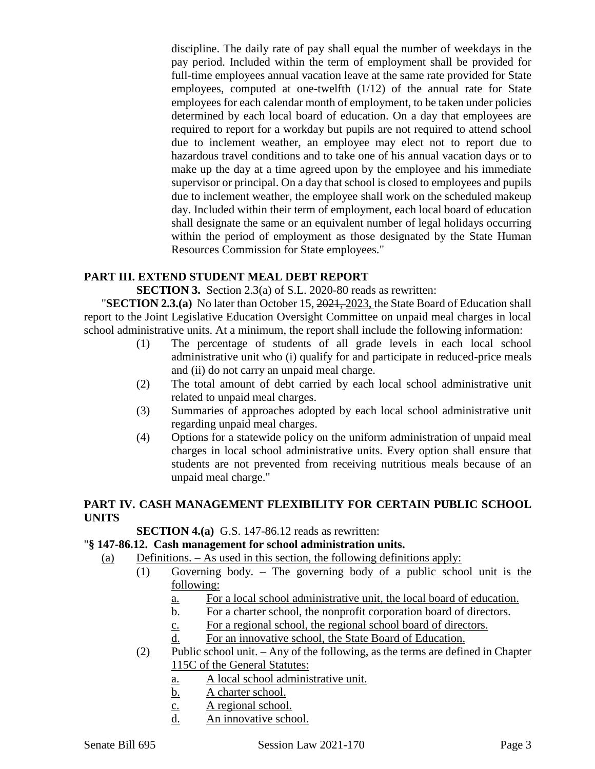discipline. The daily rate of pay shall equal the number of weekdays in the pay period. Included within the term of employment shall be provided for full-time employees annual vacation leave at the same rate provided for State employees, computed at one-twelfth (1/12) of the annual rate for State employees for each calendar month of employment, to be taken under policies determined by each local board of education. On a day that employees are required to report for a workday but pupils are not required to attend school due to inclement weather, an employee may elect not to report due to hazardous travel conditions and to take one of his annual vacation days or to make up the day at a time agreed upon by the employee and his immediate supervisor or principal. On a day that school is closed to employees and pupils due to inclement weather, the employee shall work on the scheduled makeup day. Included within their term of employment, each local board of education shall designate the same or an equivalent number of legal holidays occurring within the period of employment as those designated by the State Human Resources Commission for State employees."

#### **PART III. EXTEND STUDENT MEAL DEBT REPORT**

**SECTION 3.** Section 2.3(a) of S.L. 2020-80 reads as rewritten:

"**SECTION 2.3.(a)** No later than October 15, 2021, 2023, the State Board of Education shall report to the Joint Legislative Education Oversight Committee on unpaid meal charges in local school administrative units. At a minimum, the report shall include the following information:

- (1) The percentage of students of all grade levels in each local school administrative unit who (i) qualify for and participate in reduced-price meals and (ii) do not carry an unpaid meal charge.
- (2) The total amount of debt carried by each local school administrative unit related to unpaid meal charges.
- (3) Summaries of approaches adopted by each local school administrative unit regarding unpaid meal charges.
- (4) Options for a statewide policy on the uniform administration of unpaid meal charges in local school administrative units. Every option shall ensure that students are not prevented from receiving nutritious meals because of an unpaid meal charge."

## **PART IV. CASH MANAGEMENT FLEXIBILITY FOR CERTAIN PUBLIC SCHOOL UNITS**

**SECTION 4.(a)** G.S. 147-86.12 reads as rewritten:

#### "**§ 147-86.12. Cash management for school administration units.**

(a) Definitions. – As used in this section, the following definitions apply:

- (1) Governing body. The governing body of a public school unit is the following:
	- a. For a local school administrative unit, the local board of education.
	- b. For a charter school, the nonprofit corporation board of directors.
	- c. For a regional school, the regional school board of directors.
	- d. For an innovative school, the State Board of Education.
- (2) Public school unit. Any of the following, as the terms are defined in Chapter 115C of the General Statutes:
	- a. A local school administrative unit.
	- b. A charter school.
	- c. A regional school.
	- d. An innovative school.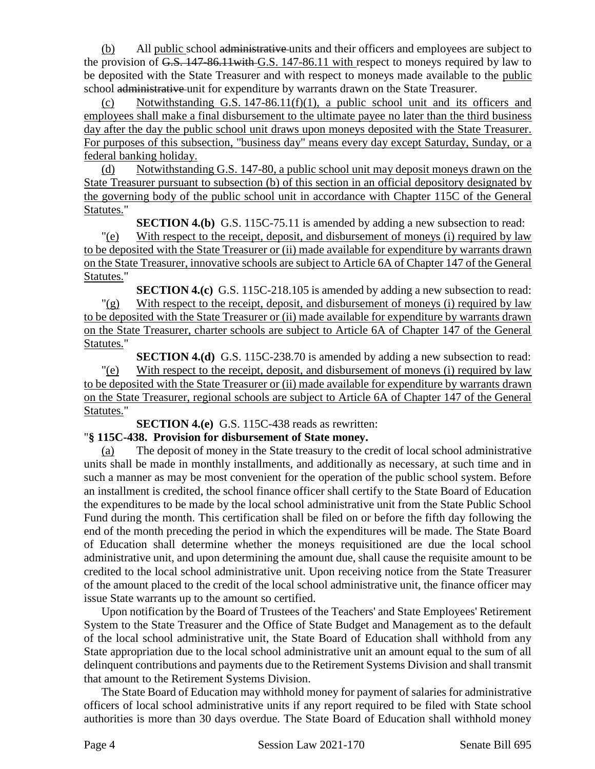(b) All public school administrative units and their officers and employees are subject to the provision of G.S. 147-86.11with G.S. 147-86.11 with respect to moneys required by law to be deposited with the State Treasurer and with respect to moneys made available to the public school administrative unit for expenditure by warrants drawn on the State Treasurer.

(c) Notwithstanding G.S.  $147-86.11(f)(1)$ , a public school unit and its officers and employees shall make a final disbursement to the ultimate payee no later than the third business day after the day the public school unit draws upon moneys deposited with the State Treasurer. For purposes of this subsection, "business day" means every day except Saturday, Sunday, or a federal banking holiday.

(d) Notwithstanding G.S. 147-80, a public school unit may deposit moneys drawn on the State Treasurer pursuant to subsection (b) of this section in an official depository designated by the governing body of the public school unit in accordance with Chapter 115C of the General Statutes."

**SECTION 4.(b)** G.S. 115C-75.11 is amended by adding a new subsection to read:

"(e) With respect to the receipt, deposit, and disbursement of moneys (i) required by law to be deposited with the State Treasurer or (ii) made available for expenditure by warrants drawn on the State Treasurer, innovative schools are subject to Article 6A of Chapter 147 of the General Statutes."

**SECTION 4.(c)** G.S. 115C-218.105 is amended by adding a new subsection to read:  $\frac{f'(g)}{g}$  With respect to the receipt, deposit, and disbursement of moneys (i) required by law to be deposited with the State Treasurer or (ii) made available for expenditure by warrants drawn on the State Treasurer, charter schools are subject to Article 6A of Chapter 147 of the General Statutes."

**SECTION 4.(d)** G.S. 115C-238.70 is amended by adding a new subsection to read: "(e) With respect to the receipt, deposit, and disbursement of moneys (i) required by law to be deposited with the State Treasurer or (ii) made available for expenditure by warrants drawn on the State Treasurer, regional schools are subject to Article 6A of Chapter 147 of the General Statutes."

**SECTION 4.(e)** G.S. 115C-438 reads as rewritten:

## "**§ 115C-438. Provision for disbursement of State money.**

(a) The deposit of money in the State treasury to the credit of local school administrative units shall be made in monthly installments, and additionally as necessary, at such time and in such a manner as may be most convenient for the operation of the public school system. Before an installment is credited, the school finance officer shall certify to the State Board of Education the expenditures to be made by the local school administrative unit from the State Public School Fund during the month. This certification shall be filed on or before the fifth day following the end of the month preceding the period in which the expenditures will be made. The State Board of Education shall determine whether the moneys requisitioned are due the local school administrative unit, and upon determining the amount due, shall cause the requisite amount to be credited to the local school administrative unit. Upon receiving notice from the State Treasurer of the amount placed to the credit of the local school administrative unit, the finance officer may issue State warrants up to the amount so certified.

Upon notification by the Board of Trustees of the Teachers' and State Employees' Retirement System to the State Treasurer and the Office of State Budget and Management as to the default of the local school administrative unit, the State Board of Education shall withhold from any State appropriation due to the local school administrative unit an amount equal to the sum of all delinquent contributions and payments due to the Retirement Systems Division and shall transmit that amount to the Retirement Systems Division.

The State Board of Education may withhold money for payment of salaries for administrative officers of local school administrative units if any report required to be filed with State school authorities is more than 30 days overdue. The State Board of Education shall withhold money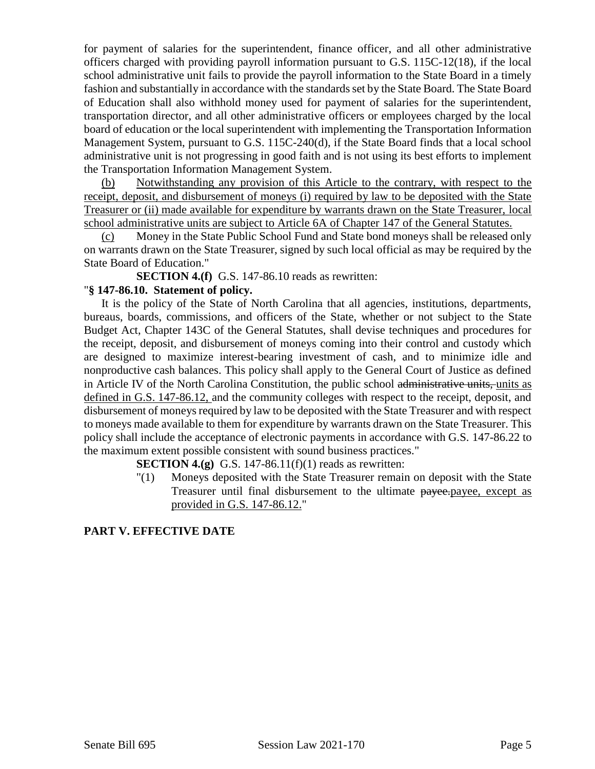for payment of salaries for the superintendent, finance officer, and all other administrative officers charged with providing payroll information pursuant to G.S. 115C-12(18), if the local school administrative unit fails to provide the payroll information to the State Board in a timely fashion and substantially in accordance with the standards set by the State Board. The State Board of Education shall also withhold money used for payment of salaries for the superintendent, transportation director, and all other administrative officers or employees charged by the local board of education or the local superintendent with implementing the Transportation Information Management System, pursuant to G.S. 115C-240(d), if the State Board finds that a local school administrative unit is not progressing in good faith and is not using its best efforts to implement the Transportation Information Management System.

(b) Notwithstanding any provision of this Article to the contrary, with respect to the receipt, deposit, and disbursement of moneys (i) required by law to be deposited with the State Treasurer or (ii) made available for expenditure by warrants drawn on the State Treasurer, local school administrative units are subject to Article 6A of Chapter 147 of the General Statutes.

(c) Money in the State Public School Fund and State bond moneys shall be released only on warrants drawn on the State Treasurer, signed by such local official as may be required by the State Board of Education."

**SECTION 4.(f)** G.S. 147-86.10 reads as rewritten:

#### "**§ 147-86.10. Statement of policy.**

It is the policy of the State of North Carolina that all agencies, institutions, departments, bureaus, boards, commissions, and officers of the State, whether or not subject to the State Budget Act, Chapter 143C of the General Statutes, shall devise techniques and procedures for the receipt, deposit, and disbursement of moneys coming into their control and custody which are designed to maximize interest-bearing investment of cash, and to minimize idle and nonproductive cash balances. This policy shall apply to the General Court of Justice as defined in Article IV of the North Carolina Constitution, the public school administrative units, units as defined in G.S. 147-86.12, and the community colleges with respect to the receipt, deposit, and disbursement of moneys required by law to be deposited with the State Treasurer and with respect to moneys made available to them for expenditure by warrants drawn on the State Treasurer. This policy shall include the acceptance of electronic payments in accordance with G.S. 147-86.22 to the maximum extent possible consistent with sound business practices."

**SECTION 4.(g)** G.S. 147-86.11(f)(1) reads as rewritten:

"(1) Moneys deposited with the State Treasurer remain on deposit with the State Treasurer until final disbursement to the ultimate payee.payee, except as provided in G.S. 147-86.12."

#### **PART V. EFFECTIVE DATE**